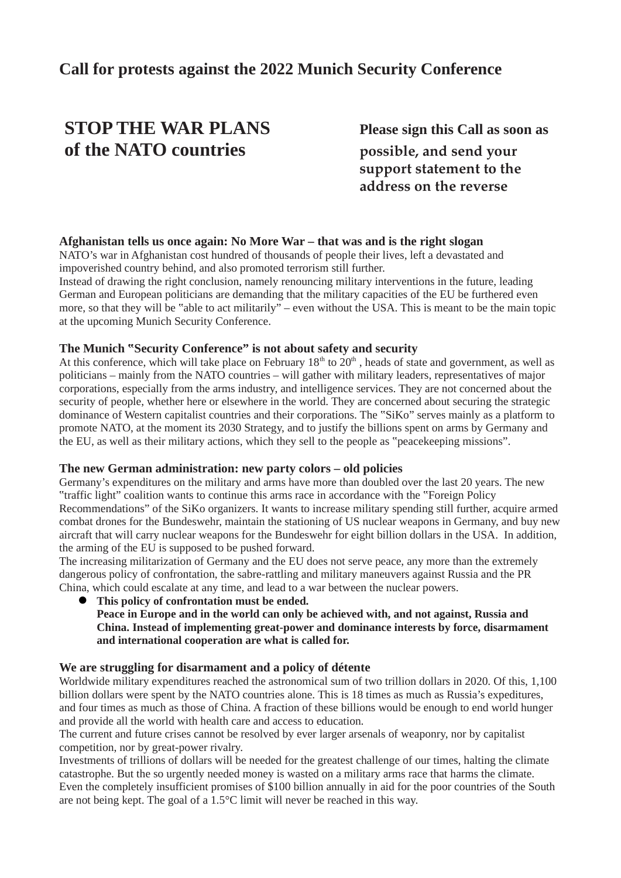## **Call for protests against the 2022 Munich Security Conference**

# **STOP THE WAR PLANS Please sign this Call as soon as of the NATO countries possible, and send your**

 **support statement to the address on the reverse**

#### **Afghanistan tells us once again: No More War – that was and is the right slogan**

NATO's war in Afghanistan cost hundred of thousands of people their lives, left a devastated and impoverished country behind, and also promoted terrorism still further.

Instead of drawing the right conclusion, namely renouncing military interventions in the future, leading German and European politicians are demanding that the military capacities of the EU be furthered even more, so that they will be "able to act militarily" – even without the USA. This is meant to be the main topic at the upcoming Munich Security Conference.

#### **The Munich "Security Conference" is not about safety and security**

At this conference, which will take place on February  $18<sup>th</sup>$  to  $20<sup>th</sup>$ , heads of state and government, as well as politicians – mainly from the NATO countries – will gather with military leaders, representatives of major corporations, especially from the arms industry, and intelligence services. They are not concerned about the security of people, whether here or elsewhere in the world. They are concerned about securing the strategic dominance of Western capitalist countries and their corporations. The "SiKo" serves mainly as a platform to promote NATO, at the moment its 2030 Strategy, and to justify the billions spent on arms by Germany and the EU, as well as their military actions, which they sell to the people as "peacekeeping missions".

#### **The new German administration: new party colors – old policies**

Germany's expenditures on the military and arms have more than doubled over the last 20 years. The new "traffic light" coalition wants to continue this arms race in accordance with the "Foreign Policy Recommendations" of the SiKo organizers. It wants to increase military spending still further, acquire armed combat drones for the Bundeswehr, maintain the stationing of US nuclear weapons in Germany, and buy new aircraft that will carry nuclear weapons for the Bundeswehr for eight billion dollars in the USA. In addition, the arming of the EU is supposed to be pushed forward.

The increasing militarization of Germany and the EU does not serve peace, any more than the extremely dangerous policy of confrontation, the sabre-rattling and military maneuvers against Russia and the PR China, which could escalate at any time, and lead to a war between the nuclear powers.

 **This policy of confrontation must be ended. Peace in Europe and in the world can only be achieved with, and not against, Russia and China. Instead of implementing great-power and dominance interests by force, disarmament and international cooperation are what is called for.**

#### **We are struggling for disarmament and a policy of détente**

Worldwide military expenditures reached the astronomical sum of two trillion dollars in 2020. Of this, 1,100 billion dollars were spent by the NATO countries alone. This is 18 times as much as Russia's expeditures, and four times as much as those of China. A fraction of these billions would be enough to end world hunger and provide all the world with health care and access to education.

The current and future crises cannot be resolved by ever larger arsenals of weaponry, nor by capitalist competition, nor by great-power rivalry.

Investments of trillions of dollars will be needed for the greatest challenge of our times, halting the climate catastrophe. But the so urgently needed money is wasted on a military arms race that harms the climate. Even the completely insufficient promises of \$100 billion annually in aid for the poor countries of the South are not being kept. The goal of a 1.5°C limit will never be reached in this way.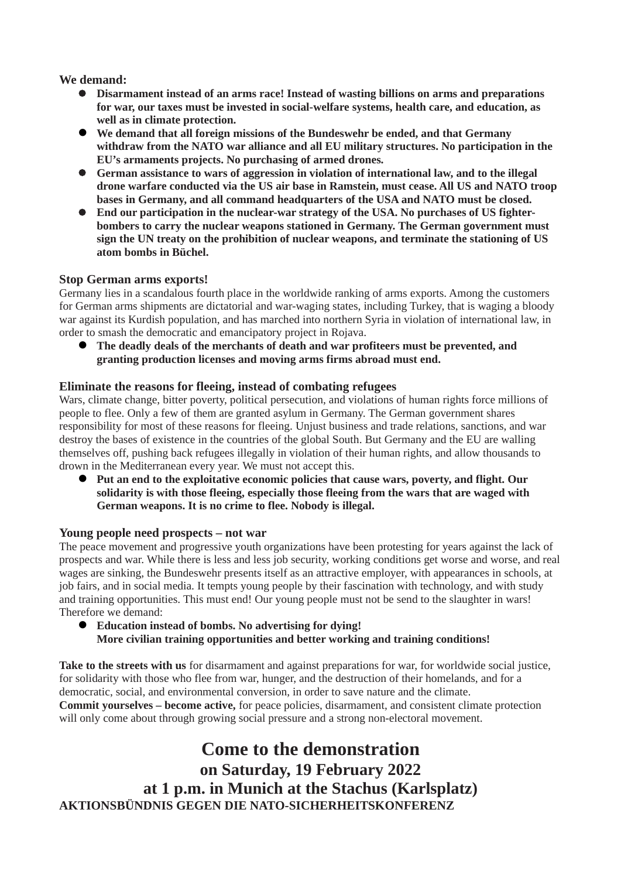**We demand:**

- **Disarmament instead of an arms race! Instead of wasting billions on arms and preparations for war, our taxes must be invested in social-welfare systems, health care, and education, as well as in climate protection.**
- **We demand that all foreign missions of the Bundeswehr be ended, and that Germany withdraw from the NATO war alliance and all EU military structures. No participation in the EU's armaments projects. No purchasing of armed drones.**
- **German assistance to wars of aggression in violation of international law, and to the illegal drone warfare conducted via the US air base in Ramstein, must cease. All US and NATO troop bases in Germany, and all command headquarters of the USA and NATO must be closed.**
- **End our participation in the nuclear-war strategy of the USA. No purchases of US fighterbombers to carry the nuclear weapons stationed in Germany. The German government must sign the UN treaty on the prohibition of nuclear weapons, and terminate the stationing of US atom bombs in Büchel.**

#### **Stop German arms exports!**

Germany lies in a scandalous fourth place in the worldwide ranking of arms exports. Among the customers for German arms shipments are dictatorial and war-waging states, including Turkey, that is waging a bloody war against its Kurdish population, and has marched into northern Syria in violation of international law, in order to smash the democratic and emancipatory project in Rojava.

 **The deadly deals of the merchants of death and war profiteers must be prevented, and granting production licenses and moving arms firms abroad must end.**

#### **Eliminate the reasons for fleeing, instead of combating refugees**

Wars, climate change, bitter poverty, political persecution, and violations of human rights force millions of people to flee. Only a few of them are granted asylum in Germany. The German government shares responsibility for most of these reasons for fleeing. Unjust business and trade relations, sanctions, and war destroy the bases of existence in the countries of the global South. But Germany and the EU are walling themselves off, pushing back refugees illegally in violation of their human rights, and allow thousands to drown in the Mediterranean every year. We must not accept this.

 **Put an end to the exploitative economic policies that cause wars, poverty, and flight. Our solidarity is with those fleeing, especially those fleeing from the wars that are waged with German weapons. It is no crime to flee. Nobody is illegal.**

#### **Young people need prospects – not war**

The peace movement and progressive youth organizations have been protesting for years against the lack of prospects and war. While there is less and less job security, working conditions get worse and worse, and real wages are sinking, the Bundeswehr presents itself as an attractive employer, with appearances in schools, at job fairs, and in social media. It tempts young people by their fascination with technology, and with study and training opportunities. This must end! Our young people must not be send to the slaughter in wars! Therefore we demand:

 **Education instead of bombs. No advertising for dying! More civilian training opportunities and better working and training conditions!**

**Take to the streets with us** for disarmament and against preparations for war, for worldwide social justice, for solidarity with those who flee from war, hunger, and the destruction of their homelands, and for a democratic, social, and environmental conversion, in order to save nature and the climate. **Commit yourselves – become active,** for peace policies, disarmament, and consistent climate protection will only come about through growing social pressure and a strong non-electoral movement.

**Come to the demonstration on Saturday, 19 February 2022 at 1 p.m. in Munich at the Stachus (Karlsplatz) AKTIONSBÜNDNIS GEGEN DIE NATO-SICHERHEITSKONFERENZ**